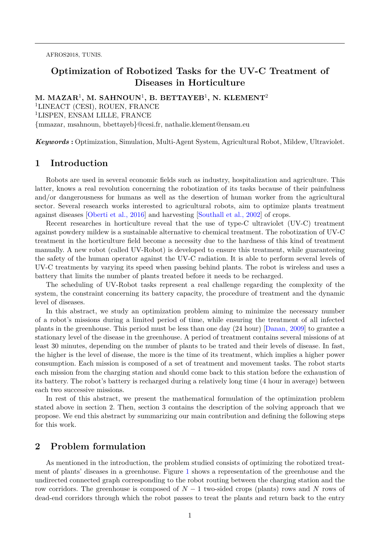AFROS2018, TUNIS.

# **Optimization of Robotized Tasks for the UV-C Treatment of Diseases in Horticulture**

**M. MAZAR**<sup>1</sup> **, M. SAHNOUN**<sup>1</sup> **, B. BETTAYEB**<sup>1</sup> **, N. KLEMENT**<sup>2</sup> <sup>1</sup>LINEACT (CESI), ROUEN, FRANCE <sup>1</sup>LISPEN, ENSAM LILLE, FRANCE {mmazar, msahnoun, bbettayeb}@cesi.fr, nathalie.klement@ensam.eu

*Keywords* **:** Optimization, Simulation, Multi-Agent System, Agricultural Robot, Mildew, Ultraviolet.

# **1 Introduction**

Robots are used in several economic fields such as industry, hospitalization and agriculture. This latter, knows a real revolution concerning the robotization of its tasks because of their painfulness and/or dangerousness for humans as well as the desertion of human worker from the agricultural sector. Several research works interested to agricultural robots, aim to optimize plants treatment against diseases [\[Oberti et al., 2016\]](#page-3-0) and harvesting [\[Southall et al., 2002\]](#page-3-1) of crops.

Recent researches in horticulture reveal that the use of type-C ultraviolet (UV-C) treatment against powdery mildew is a sustainable alternative to chemical treatment. The robotization of UV-C treatment in the horticulture field become a necessity due to the hardness of this kind of treatment manually. A new robot (called UV-Robot) is developed to ensure this treatment, while guaranteeing the safety of the human operator against the UV-C radiation. It is able to perform several levels of UV-C treatments by varying its speed when passing behind plants. The robot is wireless and uses a battery that limits the number of plants treated before it needs to be recharged.

The scheduling of UV-Robot tasks represent a real challenge regarding the complexity of the system, the constraint concerning its battery capacity, the procedure of treatment and the dynamic level of diseases.

In this abstract, we study an optimization problem aiming to minimize the necessary number of a robot's missions during a limited period of time, while ensuring the treatment of all infected plants in the greenhouse. This period must be less than one day (24 hour) [\[Danan, 2009\]](#page-3-2) to grantee a stationary level of the disease in the greenhouse. A period of treatment contains several missions of at least 30 minutes, depending on the number of plants to be trated and their levels of disease. In fast, the higher is the level of disease, the more is the time of its treatment, which implies a higher power consumption. Each mission is composed of a set of treatment and movement tasks. The robot starts each mission from the charging station and should come back to this station before the exhaustion of its battery. The robot's battery is recharged during a relatively long time (4 hour in average) between each two successive missions.

In rest of this abstract, we present the mathematical formulation of the optimization problem stated above in section 2. Then, section 3 contains the description of the solving approach that we propose. We end this abstract by summarizing our main contribution and defining the following steps for this work.

## **2 Problem formulation**

As mentioned in the introduction, the problem studied consists of optimizing the robotized treatment of plants' diseases in a greenhouse. Figure [1](#page-1-0) shows a representation of the greenhouse and the undirected connected graph corresponding to the robot routing between the charging station and the row corridors. The greenhouse is composed of *N* − 1 two-sided crops (plants) rows and *N* rows of dead-end corridors through which the robot passes to treat the plants and return back to the entry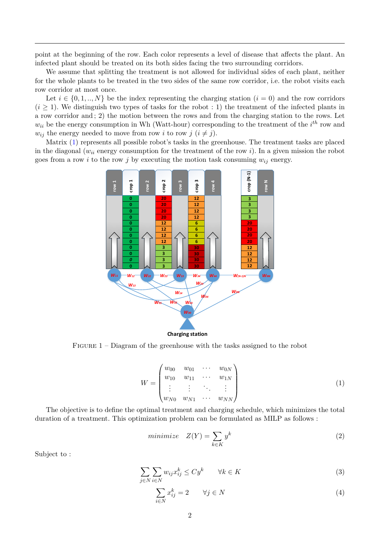point at the beginning of the row. Each color represents a level of disease that affects the plant. An infected plant should be treated on its both sides facing the two surrounding corridors.

We assume that splitting the treatment is not allowed for individual sides of each plant, neither for the whole plants to be treated in the two sides of the same row corridor, i.e. the robot visits each row corridor at most once.

Let  $i \in \{0, 1, ..., N\}$  be the index representing the charging station  $(i = 0)$  and the row corridors  $(i \geq 1)$ . We distinguish two types of tasks for the robot : 1) the treatment of the infected plants in a row corridor and ; 2) the motion between the rows and from the charging station to the rows. Let  $w_{ii}$  be the energy consumption in Wh (Watt-hour) corresponding to the treatment of the  $i^{th}$  row and *w*<sub>*ij*</sub> the energy needed to move from row *i* to row *j* ( $i \neq j$ ).

Matrix [\(1\)](#page-1-1) represents all possible robot's tasks in the greenhouse. The treatment tasks are placed in the diagonal ( $w_{ii}$  energy consumption for the treatment of the row *i*). In a given mission the robot goes from a row *i* to the row *j* by executing the motion task consuming  $w_{ij}$  energy.



<span id="page-1-0"></span>FIGURE  $1$  – Diagram of the greenhouse with the tasks assigned to the robot

<span id="page-1-1"></span>
$$
W = \begin{pmatrix} w_{00} & w_{01} & \cdots & w_{0N} \\ w_{10} & w_{11} & \cdots & w_{1N} \\ \vdots & \vdots & \ddots & \vdots \\ w_{N0} & w_{N1} & \cdots & w_{NN} \end{pmatrix}
$$
 (1)

The objective is to define the optimal treatment and charging schedule, which minimizes the total duration of a treatment. This optimization problem can be formulated as MILP as follows :

<span id="page-1-2"></span>
$$
minimize \t Z(Y) = \sum_{k \in K} y^k \t\t(2)
$$

Subject to :

<span id="page-1-3"></span>
$$
\sum_{j \in N} \sum_{i \in N} w_{ij} x_{ij}^k \le C y^k \qquad \forall k \in K
$$
\n(3)

<span id="page-1-4"></span>
$$
\sum_{i \in N} x_{ij}^k = 2 \qquad \forall j \in N \tag{4}
$$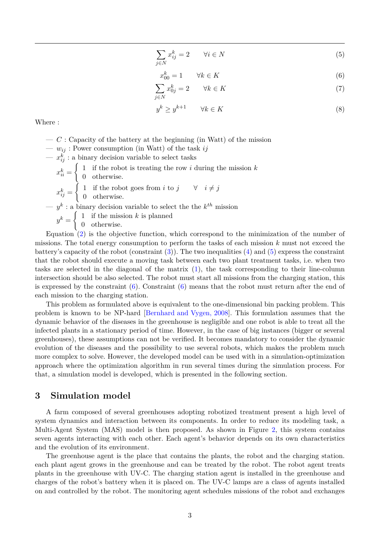<span id="page-2-0"></span>
$$
\sum_{j \in N} x_{ij}^k = 2 \qquad \forall i \in N \tag{5}
$$

<span id="page-2-1"></span>
$$
x_{00}^k = 1 \qquad \forall k \in K \tag{6}
$$

$$
\sum_{j \in N} x_{0j}^k = 2 \qquad \forall k \in K \tag{7}
$$

$$
y^k \ge y^{k+1} \qquad \forall k \in K \tag{8}
$$

Where :

- *C* : Capacity of the battery at the beginning (in Watt) of the mission
- *wij* : Power consumption (in Watt) of the task *ij*
- $x_{ij}^k$ : a binary decision variable to select tasks

 $x_{ii}^k =$  $\int 1$  if the robot is treating the row *i* during the mission *k* 0 otherwise.  $x_{ij}^k =$  $\int 1$  if the robot goes from *i* to  $j \quad \forall i \neq j$ 0 otherwise.  $(y^k : a \text{ binary decision variable to select the the } k^{th} \text{ mission})$  $y^k = \begin{cases} 1 & \text{if the mission } k \text{ is planned} \\ 0 & \text{otherwise} \end{cases}$ 0 otherwise.

Equation [\(2\)](#page-1-2) is the objective function, which correspond to the minimization of the number of missions. The total energy consumption to perform the tasks of each mission *k* must not exceed the battery's capacity of the robot (constraint  $(3)$ ). The two inequalities  $(4)$  and  $(5)$  express the constraint that the robot should execute a moving task between each two plant treatment tasks, i.e. when two tasks are selected in the diagonal of the matrix [\(1\)](#page-1-1), the task corresponding to their line-column intersection should be also selected. The robot must start all missions from the charging station, this is expressed by the constraint  $(6)$ . Constraint  $(6)$  means that the robot must return after the end of each mission to the charging station.

This problem as formulated above is equivalent to the one-dimensional bin packing problem. This problem is known to be NP-hard [\[Bernhard and Vygen, 2008\]](#page-3-3). This formulation assumes that the dynamic behavior of the diseases in the greenhouse is negligible and one robot is able to treat all the infected plants in a stationary period of time. However, in the case of big instances (bigger or several greenhouses), these assumptions can not be verified. It becomes mandatory to consider the dynamic evolution of the diseases and the possibility to use several robots, which makes the problem much more complex to solve. However, the developed model can be used with in a simulation-optimization approach where the optimization algorithm in run several times during the simulation process. For that, a simulation model is developed, which is presented in the following section.

## **3 Simulation model**

A farm composed of several greenhouses adopting robotized treatment present a high level of system dynamics and interaction between its components. In order to reduce its modeling task, a Multi-Agent System (MAS) model is then proposed. As shown in Figure [2,](#page-3-4) this system contains seven agents interacting with each other. Each agent's behavior depends on its own characteristics and the evolution of its environment.

The greenhouse agent is the place that contains the plants, the robot and the charging station. each plant agent grows in the greenhouse and can be treated by the robot. The robot agent treats plants in the greenhouse with UV-C. The charging station agent is installed in the greenhouse and charges of the robot's battery when it is placed on. The UV-C lamps are a class of agents installed on and controlled by the robot. The monitoring agent schedules missions of the robot and exchanges